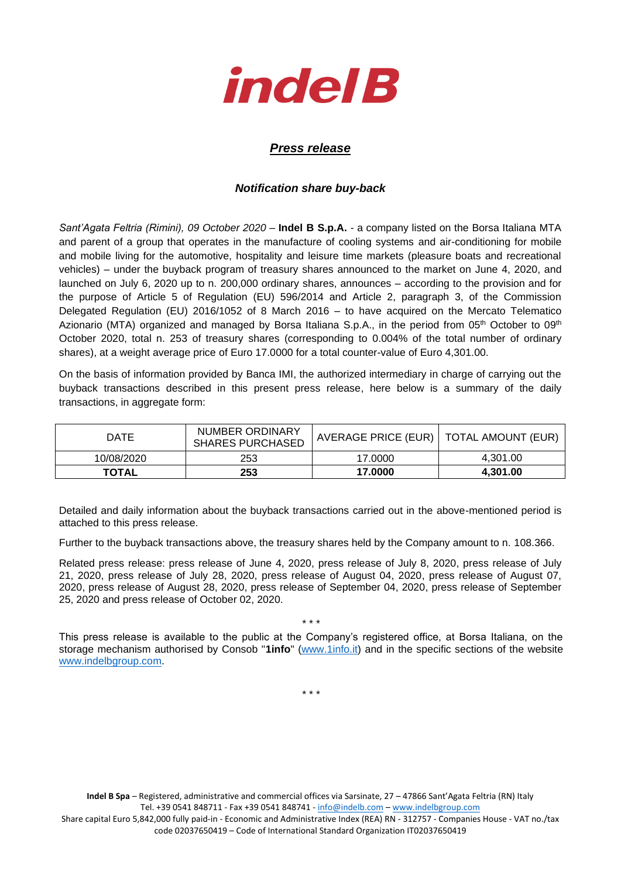

## *Press release*

## *Notification share buy-back*

*Sant'Agata Feltria (Rimini), 09 October 2020* – **Indel B S.p.A.** - a company listed on the Borsa Italiana MTA and parent of a group that operates in the manufacture of cooling systems and air-conditioning for mobile and mobile living for the automotive, hospitality and leisure time markets (pleasure boats and recreational vehicles) – under the buyback program of treasury shares announced to the market on June 4, 2020, and launched on July 6, 2020 up to n. 200,000 ordinary shares, announces – according to the provision and for the purpose of Article 5 of Regulation (EU) 596/2014 and Article 2, paragraph 3, of the Commission Delegated Regulation (EU) 2016/1052 of 8 March 2016 – to have acquired on the Mercato Telematico Azionario (MTA) organized and managed by Borsa Italiana S.p.A., in the period from 05<sup>th</sup> October to 09<sup>th</sup> October 2020, total n. 253 of treasury shares (corresponding to 0.004% of the total number of ordinary shares), at a weight average price of Euro 17.0000 for a total counter-value of Euro 4,301.00.

On the basis of information provided by Banca IMI, the authorized intermediary in charge of carrying out the buyback transactions described in this present press release, here below is a summary of the daily transactions, in aggregate form:

| DATE         | NUMBER ORDINARY<br><b>SHARES PURCHASED</b> | AVERAGE PRICE (EUR)   TOTAL AMOUNT (EUR) |          |
|--------------|--------------------------------------------|------------------------------------------|----------|
| 10/08/2020   | 253                                        | 17.0000                                  | 4.301.00 |
| <b>TOTAL</b> | 253                                        | 17.0000                                  | 4.301.00 |

Detailed and daily information about the buyback transactions carried out in the above-mentioned period is attached to this press release.

Further to the buyback transactions above, the treasury shares held by the Company amount to n. 108.366.

Related press release: press release of June 4, 2020, press release of July 8, 2020, press release of July 21, 2020, press release of July 28, 2020, press release of August 04, 2020, press release of August 07, 2020, press release of August 28, 2020, press release of September 04, 2020, press release of September 25, 2020 and press release of October 02, 2020.

This press release is available to the public at the Company's registered office, at Borsa Italiana, on the storage mechanism authorised by Consob "**1info**" [\(www.1info.it\)](file:///C:/Users/ddelietovollaro/AppData/Local/Microsoft/Windows/INetCache/Content.Outlook/T87B94UR/www.1info.it) and in the specific sections of the website [www.indelbgroup.com.](http://www.indelbgroup.com/)

\* \* \*

\* \* \*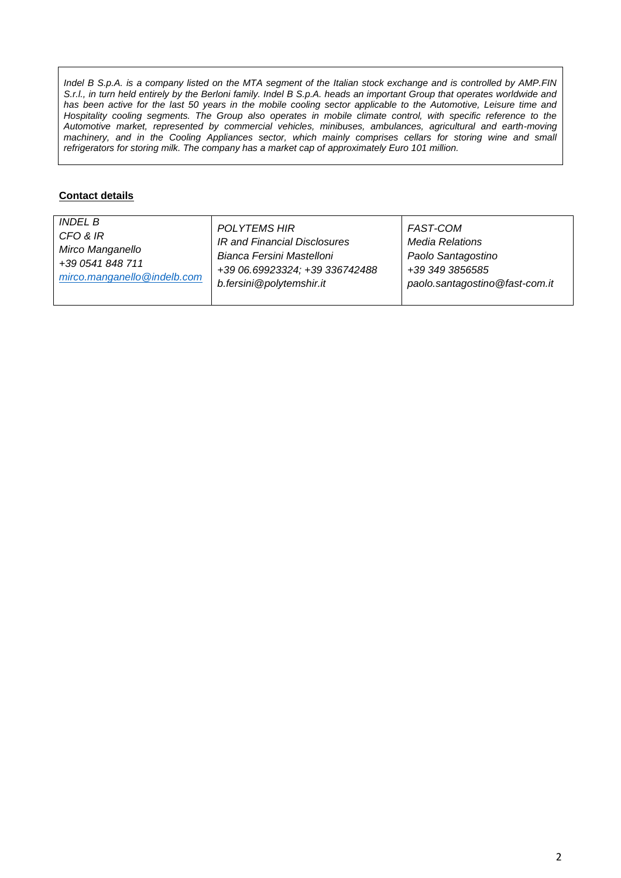*Indel B S.p.A. is a company listed on the MTA segment of the Italian stock exchange and is controlled by AMP.FIN S.r.l., in turn held entirely by the Berloni family. Indel B S.p.A. heads an important Group that operates worldwide and* has been active for the last 50 years in the mobile cooling sector applicable to the Automotive, Leisure time and Hospitality cooling segments. The Group also operates in mobile climate control, with specific reference to the *Automotive market, represented by commercial vehicles, minibuses, ambulances, agricultural and earth-moving machinery, and in the Cooling Appliances sector, which mainly comprises cellars for storing wine and small refrigerators for storing milk. The company has a market cap of approximately Euro 101 million.*

## **Contact details**

| <i>INDEL B</i>              | <b>POLYTEMS HIR</b>            | FAST-COM                       |
|-----------------------------|--------------------------------|--------------------------------|
| CFO & IR                    | IR and Financial Disclosures   | Media Relations                |
| Mirco Manganello            | Bianca Fersini Mastelloni      | Paolo Santagostino             |
| +39 0541 848 711            | +39 06.69923324; +39 336742488 | +39 349 3856585                |
| mirco.manganello@indelb.com | b.fersini@polytemshir.it       | paolo.santagostino@fast-com.it |